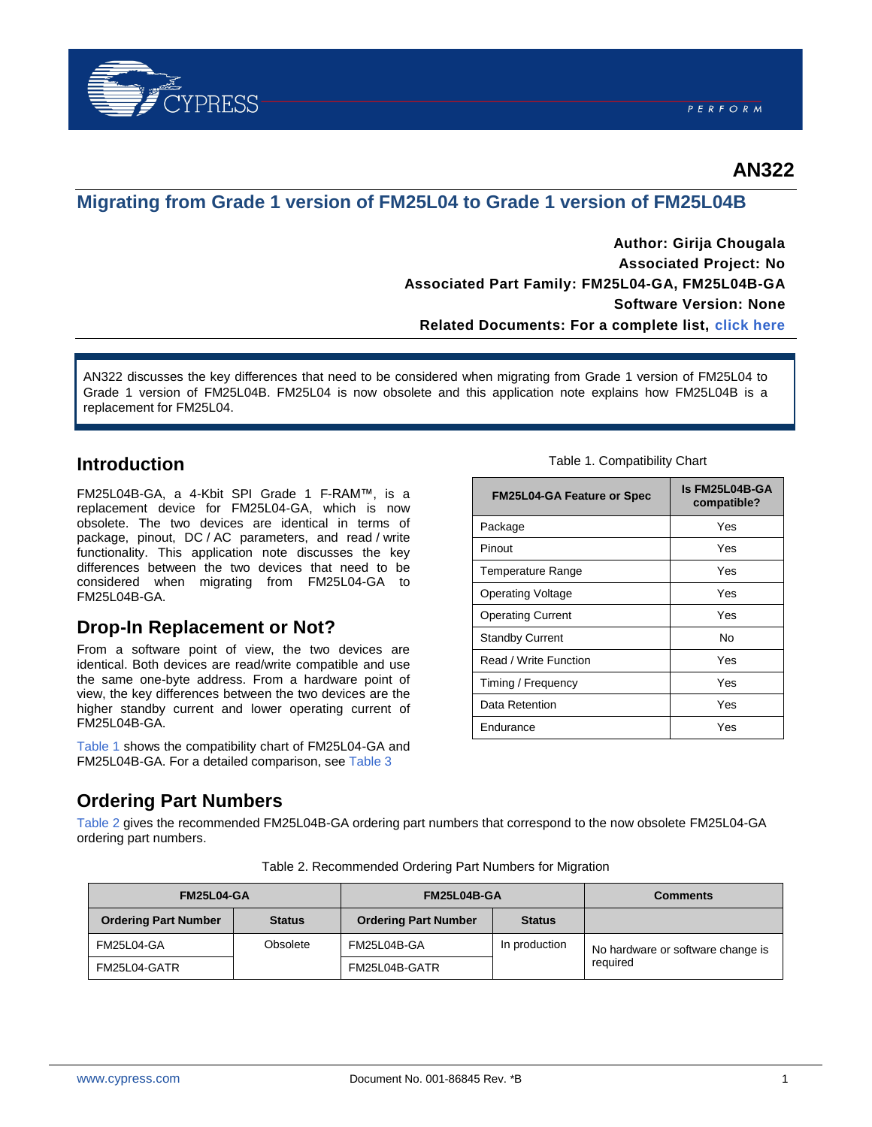

### **AN322**

### **Migrating from Grade 1 version of FM25L04 to Grade 1 version of FM25L04B**

**Author: Girija Chougala Associated Project: No Associated Part Family: FM25L04-GA, FM25L04B-GA Software Version: None Related Documents: For a complete list, [click here](#page-2-0)**

AN322 discusses the key differences that need to be considered when migrating from Grade 1 version of FM25L04 to Grade 1 version of FM25L04B. FM25L04 is now obsolete and this application note explains how FM25L04B is a replacement for FM25L04.

### **Introduction**

FM25L04B-GA, a 4-Kbit SPI Grade 1 F-RAM™, is a replacement device for FM25L04-GA, which is now obsolete. The two devices are identical in terms of package, pinout, DC / AC parameters, and read / write functionality. This application note discusses the key differences between the two devices that need to be considered when migrating from FM25L04-GA to FM25L04B-GA.

### **Drop-In Replacement or Not?**

From a software point of view, the two devices are identical. Both devices are read/write compatible and use the same one-byte address. From a hardware point of view, the key differences between the two devices are the higher standby current and lower operating current of FM25L04B-GA.

[Table](#page-0-0) 1 shows the compatibility chart of FM25L04-GA and FM25L04B-GA. For a detailed comparison, see [Table 3](#page-1-0)

#### Table 1. Compatibility Chart

<span id="page-0-0"></span>

| <b>FM25L04-GA Feature or Spec</b> | Is FM25L04B-GA<br>compatible? |
|-----------------------------------|-------------------------------|
| Package                           | Yes                           |
| Pinout                            | Yes                           |
| Temperature Range                 | Yes                           |
| <b>Operating Voltage</b>          | Yes                           |
| <b>Operating Current</b>          | Yes                           |
| <b>Standby Current</b>            | No                            |
| Read / Write Function             | Yes                           |
| Timing / Frequency                | Yes                           |
| Data Retention                    | Yes                           |
| Endurance                         | Yes                           |

#### <span id="page-0-2"></span>**Ordering Part Numbers**

[Table 2](#page-0-1) gives the recommended FM25L04B-GA ordering part numbers that correspond to the now obsolete FM25L04-GA ordering part numbers.

<span id="page-0-1"></span>

| <b>FM25L04-GA</b>           |               | FM25L04B-GA                 |               | <b>Comments</b>                   |
|-----------------------------|---------------|-----------------------------|---------------|-----------------------------------|
| <b>Ordering Part Number</b> | <b>Status</b> | <b>Ordering Part Number</b> | <b>Status</b> |                                   |
| <b>FM25L04-GA</b>           | Obsolete      | FM25L04B-GA                 | In production | No hardware or software change is |
| FM25L04-GATR                |               | FM25L04B-GATR               |               | required                          |

Table 2. Recommended Ordering Part Numbers for Migration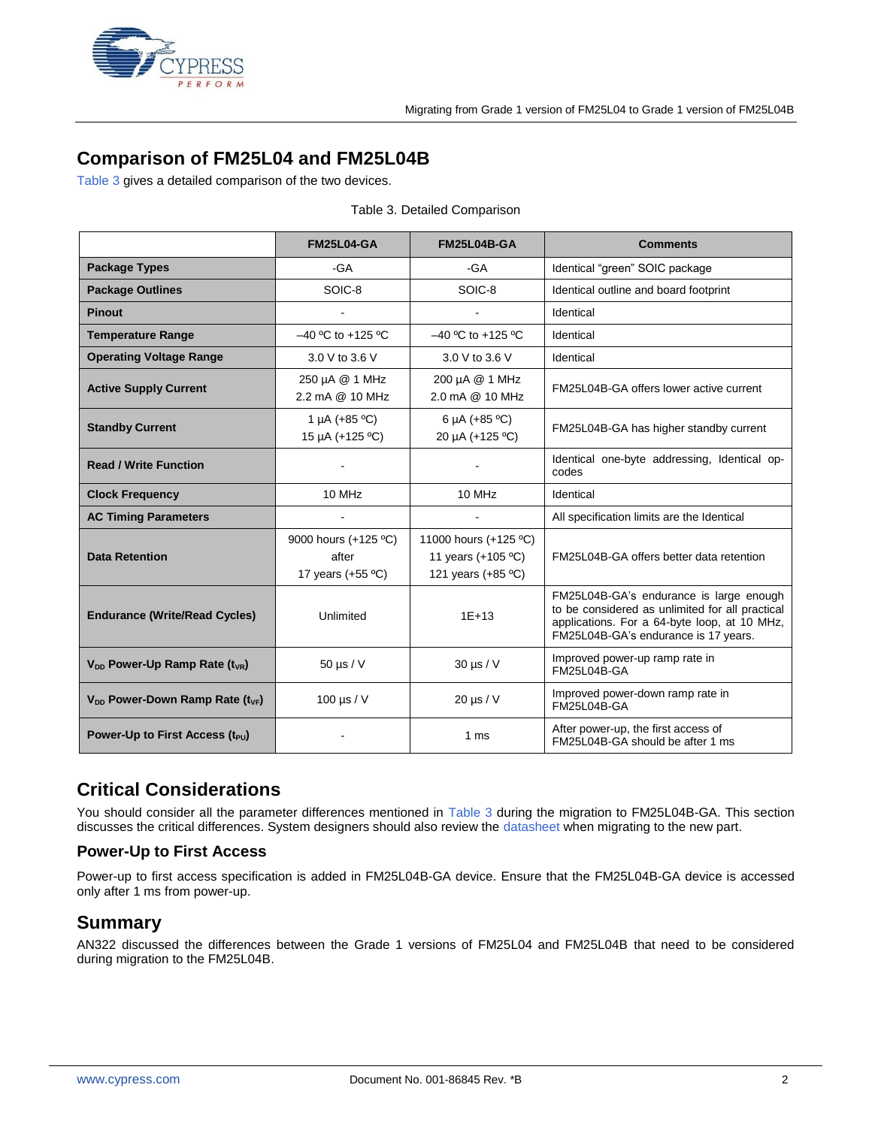

## **Comparison of FM25L04 and FM25L04B**

[Table 3](#page-1-0) gives a detailed comparison of the two devices.

<span id="page-1-0"></span>

|                                             | <b>FM25L04-GA</b>                                    | <b>FM25L04B-GA</b>                                                                                                                                                                              | <b>Comments</b>                                                         |  |
|---------------------------------------------|------------------------------------------------------|-------------------------------------------------------------------------------------------------------------------------------------------------------------------------------------------------|-------------------------------------------------------------------------|--|
| <b>Package Types</b>                        | -GA                                                  | -GA                                                                                                                                                                                             | Identical "green" SOIC package                                          |  |
| <b>Package Outlines</b>                     | SOIC-8                                               | SOIC-8                                                                                                                                                                                          | Identical outline and board footprint                                   |  |
| <b>Pinout</b>                               |                                                      |                                                                                                                                                                                                 | Identical                                                               |  |
| <b>Temperature Range</b>                    | $-40$ °C to +125 °C                                  | $-40$ °C to +125 °C                                                                                                                                                                             | Identical                                                               |  |
| <b>Operating Voltage Range</b>              | 3.0 V to 3.6 V                                       | 3.0 V to 3.6 V                                                                                                                                                                                  | Identical                                                               |  |
| <b>Active Supply Current</b>                | 250 µA @ 1 MHz<br>2.2 mA @ 10 MHz                    | 200 µA @ 1 MHz<br>2.0 mA @ 10 MHz                                                                                                                                                               | FM25L04B-GA offers lower active current                                 |  |
| <b>Standby Current</b>                      | 1 µA $(+85 °C)$<br>15 µA (+125 °C)                   | 6 µA $(+85 °C)$<br>20 µA (+125 °C)                                                                                                                                                              | FM25L04B-GA has higher standby current                                  |  |
| <b>Read / Write Function</b>                |                                                      |                                                                                                                                                                                                 | Identical one-byte addressing, Identical op-<br>codes                   |  |
| <b>Clock Frequency</b>                      | 10 MHz                                               | 10 MHz                                                                                                                                                                                          | Identical                                                               |  |
| <b>AC Timing Parameters</b>                 |                                                      |                                                                                                                                                                                                 | All specification limits are the Identical                              |  |
| <b>Data Retention</b>                       | 9000 hours (+125 °C)<br>after<br>17 years $(+55 °C)$ | 11000 hours (+125 °C)<br>11 years (+105 °C)<br>121 years (+85 °C)                                                                                                                               | FM25L04B-GA offers better data retention                                |  |
| <b>Endurance (Write/Read Cycles)</b>        | Unlimited                                            | FM25L04B-GA's endurance is large enough<br>to be considered as unlimited for all practical<br>$1E + 13$<br>applications. For a 64-byte loop, at 10 MHz,<br>FM25L04B-GA's endurance is 17 years. |                                                                         |  |
| $V_{DD}$ Power-Up Ramp Rate ( $t_{VR}$ )    | $50 \mu s/V$                                         | $30 \mu s / V$                                                                                                                                                                                  | Improved power-up ramp rate in<br><b>FM25L04B-GA</b>                    |  |
| $V_{DD}$ Power-Down Ramp Rate ( $t_{VF}$ )  | 100 $\mu$ s / V                                      | $20 \mu s / V$                                                                                                                                                                                  | Improved power-down ramp rate in<br>FM25L04B-GA                         |  |
| Power-Up to First Access (t <sub>PU</sub> ) |                                                      | 1 ms                                                                                                                                                                                            | After power-up, the first access of<br>FM25L04B-GA should be after 1 ms |  |

### **Critical Considerations**

You should consider all the parameter differences mentioned in [Table 3](#page-1-0) during the migration to FM25L04B-GA. This section discusses the critical differences. System designers should also review the [datasheet](http://www.cypress.com/?rID=76551) when migrating to the new part.

#### **Power-Up to First Access**

Power-up to first access specification is added in FM25L04B-GA device. Ensure that the FM25L04B-GA device is accessed only after 1 ms from power-up.

### **Summary**

AN322 discussed the differences between the Grade 1 versions of FM25L04 and FM25L04B that need to be considered during migration to the FM25L04B.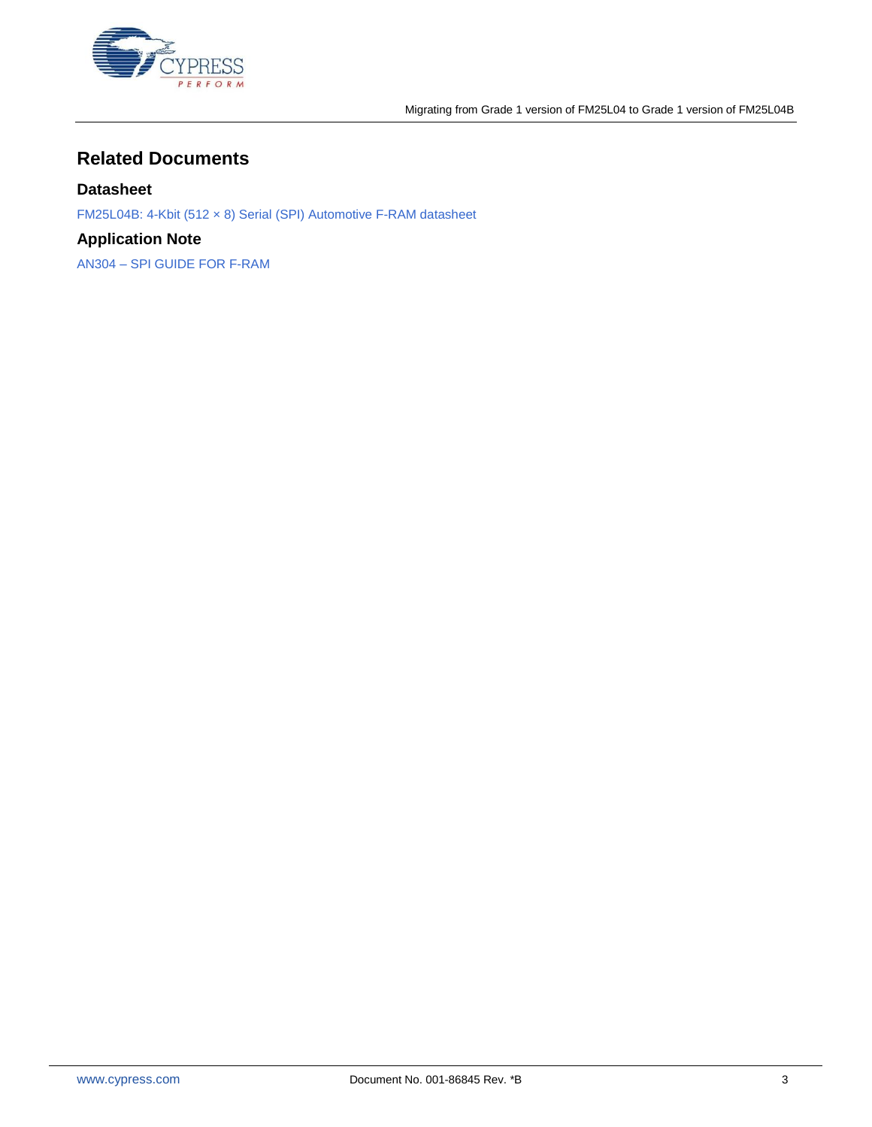

## <span id="page-2-0"></span>**Related Documents**

#### **Datasheet**

[FM25L04B: 4-Kbit \(512 × 8\) Serial \(SPI\) Automotive F-RAM datasheet](http://www.cypress.com/?rID=76551)

### **Application Note**

AN304 – [SPI GUIDE FOR F-RAM](http://www.cypress.com/?rID=82691)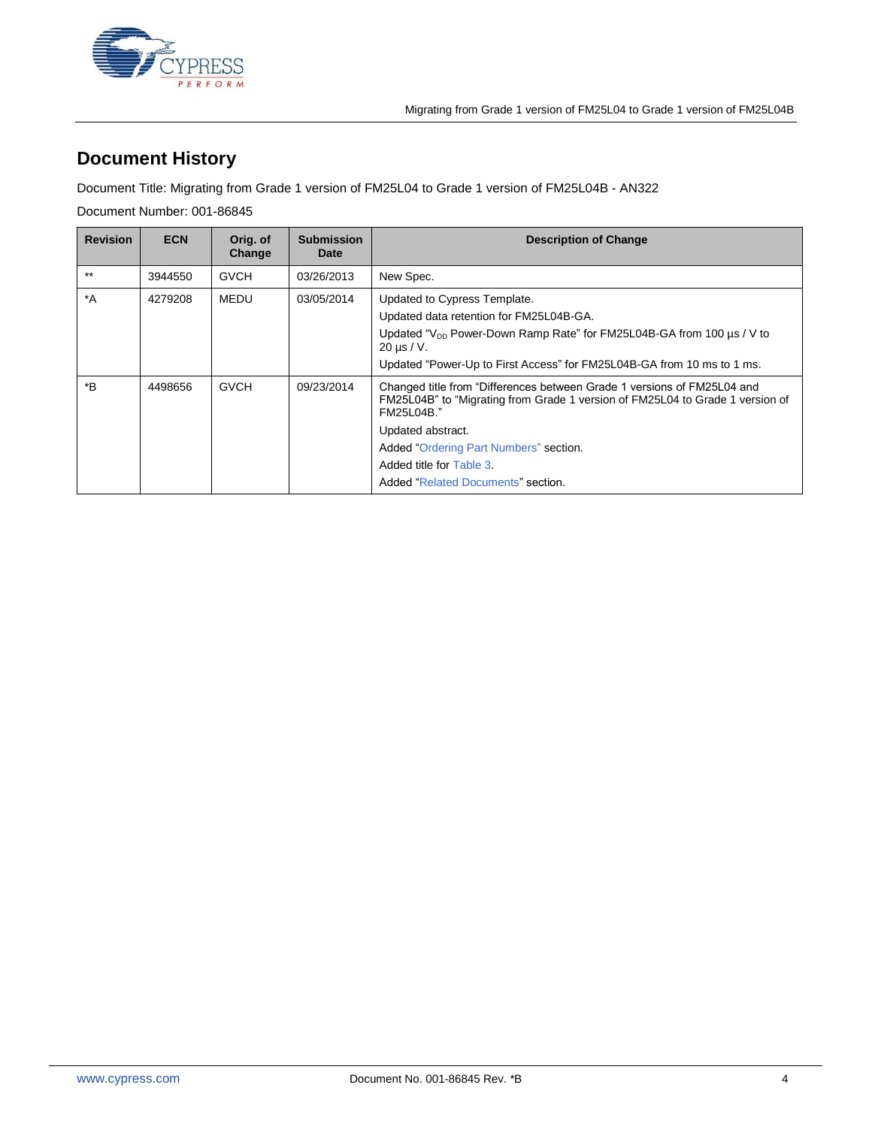

# **Document History**

Document Title: Migrating from Grade 1 version of FM25L04 to Grade 1 version of FM25L04B - AN322

Document Number: 001-86845

| <b>Revision</b>  | <b>ECN</b> | Orig. of<br>Change | <b>Submission</b><br>Date | <b>Description of Change</b>                                                                                                                                                                                                                                                                            |
|------------------|------------|--------------------|---------------------------|---------------------------------------------------------------------------------------------------------------------------------------------------------------------------------------------------------------------------------------------------------------------------------------------------------|
| $***$            | 3944550    | <b>GVCH</b>        | 03/26/2013                | New Spec.                                                                                                                                                                                                                                                                                               |
| $^*A$            | 4279208    | MEDU               | 03/05/2014                | Updated to Cypress Template.<br>Updated data retention for FM25L04B-GA.<br>Updated " $V_{DD}$ Power-Down Ramp Rate" for FM25L04B-GA from 100 $\mu$ s / V to<br>$20 \mu s/V$ .<br>Updated "Power-Up to First Access" for FM25L04B-GA from 10 ms to 1 ms.                                                 |
| $*_{\mathsf{B}}$ | 4498656    | <b>GVCH</b>        | 09/23/2014                | Changed title from "Differences between Grade 1 versions of FM25L04 and<br>FM25L04B" to "Migrating from Grade 1 version of FM25L04 to Grade 1 version of<br>FM25L04B."<br>Updated abstract.<br>Added "Ordering Part Numbers" section.<br>Added title for Table 3.<br>Added "Related Documents" section. |